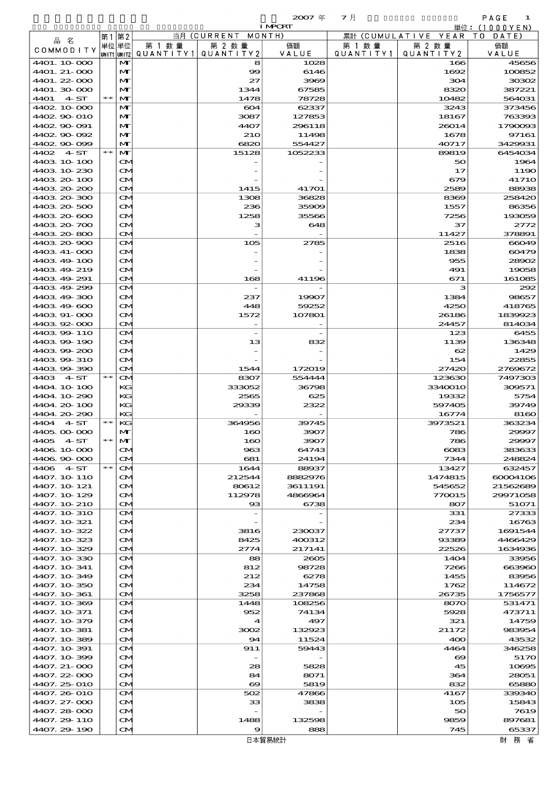$\overline{20007}$   $\overline{4}$   $\overline{7}$   $\overline{7}$   $\overline{7}$   $\overline{8}$   $\overline{1}$   $\overline{1}$   $\overline{1}$   $\overline{1}$   $\overline{1}$   $\overline{1}$   $\overline{1}$   $\overline{1}$   $\overline{1}$   $\overline{1}$   $\overline{1}$   $\overline{1}$   $\overline{1}$   $\overline{1}$   $\overline{1}$   $\overline{1}$   $\overline{1}$   $\overline{1}$ 

|                             |       |                                        |         |                                             | <b>I MPCRT</b>  |                      |                              | 単位: (1000YEN)        |
|-----------------------------|-------|----------------------------------------|---------|---------------------------------------------|-----------------|----------------------|------------------------------|----------------------|
| 品名                          | 第1    | 第2                                     |         | 当月(CURRENT                                  | MONTH)          |                      | 累計 (CUMULATIVE YEAR TO DATE) |                      |
| COMMODITY                   |       | 単位 単位                                  | 第 1 数 量 | 第 2 数量<br>QUANTITY1 QUANTITY2               | 価額<br>VALUE     | 第 1 数 量<br>QUANTITY1 | 第 2 数量<br>QUANTITY 2         | 価額<br>VALUE          |
| 4401.10.000                 |       | UNIT1 UNIT2<br>$\mathbf{M}$            |         | 8                                           | 1028            |                      | 166                          | 45656                |
| 4401. 21-000                |       | M                                      |         | $\infty$                                    | 6146            |                      | 1692                         | 100852               |
| 4401.22-000                 |       | M                                      |         | 27                                          | 3969            |                      | 304                          | 30302                |
| 4401.30 000                 |       | M                                      |         | 1344                                        | 67585           |                      | 8320                         | 387221               |
| 4401<br>4 ST                | $* *$ | M                                      |         | 1478                                        | 78728           |                      | 10482                        | 564031               |
| 4402 10 000<br>4402.90.010  |       | $\mathbf{M}$<br>M                      |         | 604<br>3087                                 | 62337<br>127853 |                      | 3243<br>18167                | 373456<br>763393     |
| 4402.90-091                 |       | M                                      |         | 4407                                        | 296118          |                      | 26014                        | 1790093              |
| 4402.90.092                 |       | $\mathbf{M}$                           |         | <b>210</b>                                  | 11498           |                      | 1678                         | 97161                |
| 4402.90-099                 |       | M                                      |         | 6820                                        | 554427          |                      | 40717                        | 3429931              |
| 4402 4 ST                   | $* *$ | M                                      |         | 15128                                       | 1052233         |                      | 89819                        | 6454034              |
| 4403 10 100                 |       | $\mathbf{\Omega}$                      |         |                                             |                 |                      | 50                           | 1964                 |
| 4403 10 230<br>4403 20 100  |       | M<br>M                                 |         |                                             |                 |                      | 17<br>679                    | 1190<br><b>41710</b> |
| 4403 20 200                 |       | $\mathbf{\Omega}$                      |         | 1415                                        | 41701           |                      | 2589                         | 88938                |
| 4403 20 300                 |       | M                                      |         | 1308                                        | 36828           |                      | 8369                         | 258420               |
| 4403 20 500                 |       | $\mathbf{\Omega}$                      |         | 236                                         | 35909           |                      | 1557                         | 86356                |
| 4403 20 600                 |       | $\mathbf{\Omega}$                      |         | 1258                                        | 35566           |                      | 7256                         | 193059               |
| 4403 20 700                 |       | M                                      |         | з                                           | 648             |                      | 37                           | 2772                 |
| 4403 20 800                 |       | $\mathbf{\Omega}$                      |         |                                             |                 |                      | 11427                        | 378891               |
| 4403 20 900<br>4403 41-000  |       | M<br>M                                 |         | 105                                         | 2785            |                      | 2516<br>1838                 | 66049<br>60479       |
| 4403 49 100                 |       | $\mathbf{\Omega}$                      |         |                                             |                 |                      | 955                          | 28902                |
| 4403 49 219                 |       | M                                      |         |                                             |                 |                      | 491                          | 19058                |
| 4403 49 291                 |       | $\mathbf{\Omega}$                      |         | 168                                         | 41196           |                      | 671                          | 161085               |
| 4403 49 299                 |       | M                                      |         |                                             |                 |                      | з                            | 292                  |
| 4403 49 300                 |       | $\mathbf{\Omega}$                      |         | 237                                         | 19907           |                      | 1384                         | 98657                |
| 4403 49 600                 |       | $\mathbf{\Omega}$                      |         | 448                                         | 59252           |                      | 4250                         | 418765               |
| 4403 91-000                 |       | M                                      |         | 1572                                        | 107801          |                      | 26186                        | 1839923              |
| 440392000                   |       | $\mathbf{\Omega}$                      |         |                                             |                 |                      | 24457                        | 814034               |
| 4403.99-110                 |       | M                                      |         | $\overline{\phantom{a}}$                    |                 |                      | 123                          | 6455                 |
| 440399-190<br>440399200     |       | $\mathbf{\Omega}$<br>$\mathbf{\Omega}$ |         | 13                                          | 832             |                      | 1139<br>62                   | 136348<br>1429       |
| 4403 99 310                 |       | M                                      |         |                                             |                 |                      | 154                          | 22855                |
| 440399390                   |       | $\mathbf{\Omega}$                      |         | 1544                                        | 172019          |                      | 27420                        | 2769672              |
| 4403 4 ST                   | $*$   | $\mathbf{\Omega}$                      |         | 8307                                        | 554444          |                      | 123630                       | 7497303              |
| 4404.10-100                 |       | KG                                     |         | 333052                                      | 36798           |                      | 3340010                      | 309571               |
| 4404.10-290                 |       | KG                                     |         | 2565                                        | 625             |                      | 19332                        | 5754                 |
| 4404.20-100                 |       | KG                                     |         | 29339                                       | 2322            |                      | 597405                       | 39749                |
| 4404.20-290                 | $*$   | KG                                     |         |                                             | 39745           |                      | 16774                        | 8160                 |
| 4404 4 ST<br>4405.00 000    |       | KС<br>M                                |         | 364956<br>160                               | 3907            |                      | 3973521<br>786               | 363234<br>29997      |
| 4405 4 ST                   | $**$  | M                                      |         | 160                                         | 3907            |                      | 786                          | 29997                |
| 4406 10 000                 |       | $\mathbf{\Omega}$                      |         | 963                                         | 64743           |                      | $\cos$                       | 383633               |
| 4406 90 000                 |       | $\mathbf{\Omega}$                      |         | 681                                         | 24194           |                      | 7344                         | 248824               |
| 4406 4 ST                   | $* *$ | $\mathbf{\Omega}$                      |         | 1644                                        | 88937           |                      | 13427                        | 632457               |
| 4407. 10 110                |       | $\mathbf{\Omega}$                      |         | 212544                                      | 8882976         |                      | 1474815                      | 60004106             |
| 4407. 10 121                |       | M                                      |         | 80612                                       | 3611191         |                      | 545652                       | 21562689             |
| 4407.10-129                 |       | M                                      |         | 112978                                      | 4866964         |                      | 770015                       | 29971058             |
| 4407.10-210<br>4407. 10 310 |       | $\mathbf{\Omega}$<br>M                 |         | $_{\rm \alpha}$<br>$\overline{\phantom{a}}$ | 6738            |                      | 807<br>331                   | 51071<br>27333       |
| 4407.10 321                 |       | $\mathbf{\Omega}$                      |         |                                             |                 |                      | 234                          | 16763                |
| 4407.10-322                 |       | M                                      |         | 3816                                        | 230037          |                      | 27737                        | 1691544              |
| 4407.10-323                 |       | M                                      |         | 8425                                        | 400312          |                      | 93389                        | 4466429              |
| 4407.10-329                 |       | $\mathbf{\Omega}$                      |         | 2774                                        | 217141          |                      | 22526                        | 1634936              |
| 4407.10-330                 |       | M                                      |         | 88                                          | 2605            |                      | 1404                         | 33956                |
| 4407. 10 341                |       | $\mathbf{\Omega}$                      |         | 812                                         | 98728           |                      | 7266                         | 663960               |
| 4407. 10-349                |       | M                                      |         | 212                                         | 6278            |                      | 1455                         | 83956                |
| 4407. 10 350<br>4407.10.361 |       | M<br>$\mathbf{\Omega}$                 |         | 234<br>3258                                 | 14758<br>237868 |                      | 1762<br>26735                | 114672<br>1756577    |
| 4407.10-369                 |       | M                                      |         | 1448                                        | 108256          |                      | 8070                         | 531471               |
| 4407. 10-371                |       | $\mathbf{\Omega}$                      |         | 952                                         | 74134           |                      | 5928                         | 473711               |
| 4407.10-379                 |       | M                                      |         | $\boldsymbol{4}$                            | 497             |                      | 321                          | 14759                |
| 4407. 10 381                |       | M                                      |         | 3002                                        | 132923          |                      | 21172                        | 983954               |
| 4407.10-389                 |       | $\mathbf{\Omega}$                      |         | 94                                          | 11524           |                      | 400                          | 43532                |
| 4407. 10-391                |       | M                                      |         | 911                                         | 59443           |                      | 4464                         | 346258               |
| 4407.10-399                 |       | $\mathbf{\Omega}$                      |         |                                             |                 |                      | $\boldsymbol{\infty}$        | 5170                 |
| 4407. 21-000                |       | M                                      |         | 28                                          | 5828            |                      | 45                           | 10695                |
| 4407.22-000<br>4407.25 010  |       | M<br>$\mathbf{\Omega}$                 |         | 84<br>$\boldsymbol{\infty}$                 | 8071<br>5819    |                      | 364<br>832                   | 28051<br>65880       |
| 4407.26-010                 |       | M                                      |         | 502                                         | 47866           |                      | 4167                         | 339340               |
| 4407. 27-000                |       | $\mathbf{\Omega}$                      |         | 33                                          | 3838            |                      | 105                          | 15843                |
| 4407.28-000                 |       | M                                      |         |                                             |                 |                      | 50                           | 7619                 |
| 4407.29 110                 |       | ŒM.                                    |         | 1488                                        | 132598          |                      | 9859                         | 897681               |
| 4407.29-190                 |       | M                                      |         | 9                                           | 888             |                      | 745                          | 65337                |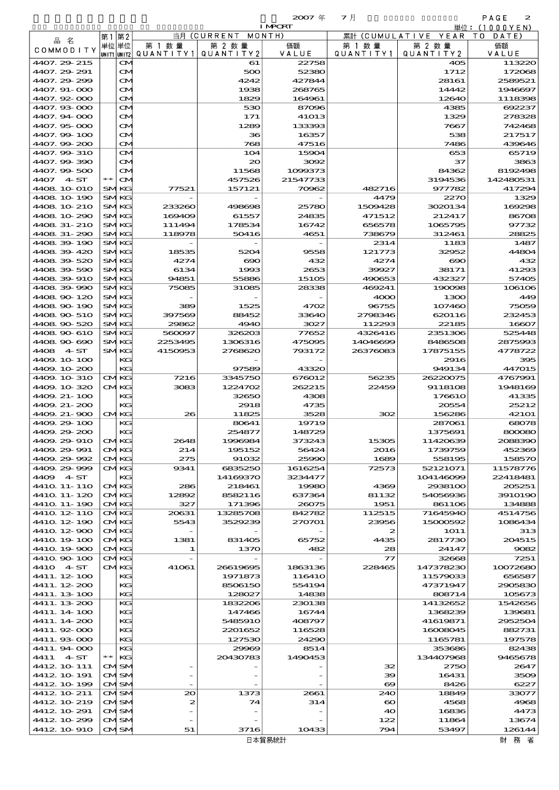| $2007 \text{ }$ | マ月 |
|-----------------|----|
| I NRC RT        |    |

|                              |      |                                |                    |                    | $2007 \text{ }$<br><b>I MPORT</b> | マ月                   |                     | PAGE<br>2                   |
|------------------------------|------|--------------------------------|--------------------|--------------------|-----------------------------------|----------------------|---------------------|-----------------------------|
|                              |      | 第1第2                           | 当月                 | <b>CURRENT</b>     | MONTH)                            | 累計<br>(CUMULATIVE    | YEAR                | 単位:(1000YEN)<br>T 0<br>DATE |
| 品名                           |      | 単位 単位                          | 第 1 数 量            | 第 2 数 量            | 価額                                | 第 1 数 量              | 第 2 数量              | 価額                          |
| COMMODITY                    |      | UNIT1 UNIT2                    | QUANTITY1          | QUANTITY2          | VALUE                             | QUANTITY1            | QUANTITY 2          | VALUE                       |
| 4407. 29. 215<br>4407.29.291 |      | $\mathbf{\infty}$              |                    | 61<br>500          | 22758<br>52380                    |                      | 405<br>1712         | 113220<br>172068            |
| 4407.29.299                  |      | $\mathbf{\Omega}$<br><b>CM</b> |                    | 4242               | 427844                            |                      | 28161               | 2589521                     |
| 4407.91-000                  |      | <b>CM</b>                      |                    | 1938               | 268765                            |                      | 14442               | 1946697                     |
| 4407.92-000                  |      | $\mathbf{\Omega}$              |                    | 1829               | 164961                            |                      | 12640               | 1118398                     |
| 4407.93-000                  |      | $\mathbf{\alpha}$              |                    | 530                | 87096                             |                      | 4385                | 692237                      |
| 4407.94 000<br>4407.95-000   |      | $\mathbf{\Omega}$              |                    | 171<br>1289        | <b>41013</b><br>133393            |                      | 1329<br>7667        | 278328<br>742468            |
| 4407.99-100                  |      | <b>CM</b><br><b>CM</b>         |                    | 36                 | 16357                             |                      | 538                 | 217517                      |
| 4407.99-200                  |      | $\mathbf{\Omega}$              |                    | 768                | 47516                             |                      | 7486                | 439646                      |
| 4407.99-310                  |      | $\mathbf{\alpha}$              |                    | 104                | 15904                             |                      | 653                 | 65719                       |
| 4407.99-390                  |      | $\mathbf{\Omega}$              |                    | $_{\infty}$        | 3092                              |                      | 37                  | 3863                        |
| 4407.99-500<br>4407<br>4~ST  | $**$ | <b>CM</b><br>$\mathbf{\Omega}$ |                    | 11568<br>457526    | 1099373<br>21547733               |                      | 84362<br>3194536    | 8192498<br>142480531        |
| 4408 10 010                  |      | <b>SMKG</b>                    | 77521              | 157121             | 70962                             | 482716               | 977782              | 417294                      |
| 4408 10 190                  |      | <b>SMKG</b>                    |                    |                    |                                   | 4479                 | 2270                | 1329                        |
| 4408 10 210                  |      | <b>SMKG</b>                    | 233260             | 498698             | 25780                             | 1509428              | 3020134             | 169298                      |
| 4408 10 290                  |      | <b>SMKG</b>                    | 169409             | 61557              | 24835                             | 471512               | 212417              | 86708                       |
| 4408 31-210<br>4408 31-290   |      | <b>SMKG</b><br><b>SMKG</b>     | 111494<br>118978   | 178534<br>50416    | 16742<br>4651                     | 656578<br>738679     | 1065795<br>312461   | 97732<br>28825              |
| 4408.39-190                  |      | SMKG                           |                    |                    |                                   | 2314                 | 1183                | 1487                        |
| 4408 39 420                  |      | <b>SMKG</b>                    | 18535              | 5204               | 9558                              | 121773               | 32952               | 44804                       |
| 4408.39-520                  |      | <b>SMKG</b>                    | 4274               | $\infty$           | 432                               | 4274                 | $\bf{690}$          | 432                         |
| 440839590                    |      | <b>SMKG</b>                    | 6134               | 1993               | 2653                              | 39927                | 38171               | 41293                       |
| 4408 39 910<br>4408.39-990   |      | <b>SMKG</b><br>SMKG            | 94851<br>75085     | 55886<br>31085     | 15105<br>28338                    | 490653<br>469241     | 432327<br>190098    | 57405<br>106106             |
| 4408.90-120                  |      | <b>SMKG</b>                    |                    |                    |                                   | 4000                 | 1300                | 449                         |
| 4408.90-190                  |      | <b>SMKG</b>                    | 389                | 1525               | 4702                              | 96755                | 107460              | 75059                       |
| 4408 90 510                  |      | <b>SMKG</b>                    | 397569             | 88452              | 33640                             | 2798346              | 620116              | 232453                      |
| 4408.90-520                  |      | <b>SMKG</b>                    | 29862              | 4940               | 3027                              | 112293               | 22185               | 16607                       |
| 4408 90 610                  |      | <b>SMKG</b>                    | 560097             | 326203             | 77652                             | 4326416              | 2351306             | 525448                      |
| 4408.90-690<br>4408 4 ST     |      | <b>SMKG</b><br><b>SMKG</b>     | 2253495<br>4150953 | 1306316<br>2768620 | 475095<br>793172                  | 14046699<br>26376083 | 8486508<br>17875155 | 2875993<br>4778722          |
| 4409.100100                  |      | KG                             |                    |                    |                                   |                      | 2916                | 395                         |
| 44009 10 200                 |      | KG                             |                    | 97589              | 43320                             |                      | 949134              | 447015                      |
| 4409, 10 310                 |      | <b>CMKG</b>                    | 7216               | 3345750            | 676012                            | 56235                | 26220075            | 4767991                     |
| 44009 10 320<br>4409. 21-100 |      | <b>CMKG</b><br>KС              | 3083               | 1224702<br>32650   | 262215<br>4308                    | 22459                | 9118108<br>176610   | 1948169<br>41335            |
| 4409. 21-200                 |      | KG                             |                    | 2918               | 4735                              |                      | 20554               | 25212                       |
| 4409 21-900                  |      | <b>CMKG</b>                    | 26                 | 11825              | 3528                              | 302                  | 156286              | 42101                       |
| 4409.29-100                  |      | КG                             |                    | 80641              | 19719                             |                      | 287061              | 68078                       |
| 4409.29 200                  |      | KG                             |                    | 254877             | 148729                            |                      | 1375691             | 80080                       |
| 4409.29-910<br>4409.29-991   |      | <b>CMKG</b><br><b>CMKG</b>     | 2648<br>214        | 1996984<br>195152  | 373243<br>56424                   | 15305<br>2016        | 11420639<br>1739759 | 2088390<br>452369           |
| 4409.29-992                  |      | <b>CMKG</b>                    | 275                | 91032              | 25990                             | 1689                 | 558195              | 158570                      |
| 4409.29-999                  |      | CMKG                           | 9341               | 6835250            | 1616254                           | 72573                | 52121071            | 11578776                    |
| 4409 4 ST                    |      | KG                             |                    | 14169370           | 3234477                           |                      | 104146099           | 22418481                    |
| 4410 11- 110<br>4410 11-120  |      | <b>CMKG</b>                    | 286                | 218461             | 19980                             | 4369<br>81132        | 2938100<br>54056936 | 205251<br>3910190           |
| 4410 11- 190                 |      | <b>CMKG</b><br><b>CMKG</b>     | 12892<br>327       | 8582116<br>171396  | 637364<br>26075                   | 1951                 | 861106              | 134888                      |
| 4410 12 110                  |      | <b>CMKG</b>                    | 20631              | 13285708           | 842782                            | 112515               | 71645940            | 4514756                     |
| 4410 12 190                  |      | <b>CMKG</b>                    | 5543               | 3529239            | 270701                            | 23956                | 15000592            | 1086434                     |
| 4410 12 900                  |      | <b>CMKG</b>                    |                    |                    |                                   | 2                    | 1O11                | 313                         |
| 4410 19 100<br>4410 19 900   |      | <b>CMKG</b><br><b>CMKG</b>     | 1381<br>1          | 831405             | 65752<br>482                      | 4435<br>28           | 2817730<br>24147    | 204515<br>9082              |
| 4410.90-100                  |      | CMKG                           |                    | 1370               |                                   | $\tau\tau$           | 32668               | 7251                        |
| 4410 4 ST                    |      | <b>CMKG</b>                    | 41061              | 26619695           | 1863136                           | 228465               | 147378230           | 10072680                    |
| 4411.12-100                  |      | КG                             |                    | 1971873            | 116410                            |                      | 11579033            | 656587                      |
| 4411.12.200                  |      | KG                             |                    | 8506150            | 554194                            |                      | 47371947            | 2905830                     |
| 4411.13-100<br>4411.13-200   |      | KG<br>КG                       |                    | 128027<br>1832206  | 14838<br>230138                   |                      | 808714<br>14132652  | 105673<br>1542656           |
| 4411.14-100                  |      | KG                             |                    | 147466             | 16744                             |                      | 1368239             | 139681                      |
| 4411.14-200                  |      | КG                             |                    | 5485910            | 408797                            |                      | 41619871            | 2952504                     |
| 4411.92-000                  |      | KG                             |                    | 2201652            | 116528                            |                      | 16008045            | 882731                      |
| 4411.93-000                  |      | KG                             |                    | 127530             | 24290                             |                      | 1165781             | 197578                      |
| 4411.94 000<br>4411 4 ST     | $**$ | КG<br>KG                       |                    | 29969<br>20430783  | 8514<br>1490453                   |                      | 353686<br>134407968 | 82438<br>9465678            |
| 4412 10 111                  |      | <b>CMSM</b>                    |                    |                    |                                   | 32                   | 2750                | 2647                        |
| 4412 10 191                  |      | <b>CMSM</b>                    |                    |                    |                                   | 39                   | 16431               | 3509                        |
| 4412 10 199                  |      | <b>CMSM</b>                    |                    |                    |                                   | $\infty$             | 8426                | 6227                        |
| 4412 10 211                  |      | CMSM                           | 20                 | 1373               | 2661                              | 240                  | 18849               | 33077                       |
| 4412 10 219<br>4412 10 291   |      | <b>CMSM</b><br>CMSM            | 2                  | 74                 | 314                               | $\infty$<br>40       | 4568<br>16836       | 4968<br>4473                |
| 4412 10 299                  |      | <b>CMSM</b>                    |                    |                    |                                   | 122                  | 11864               | 13674                       |
| 4412 10 910                  |      | <b>CMSM</b>                    | 51                 | 3716               | 10433                             | 794                  | 53497               | 126144                      |
|                              |      |                                |                    |                    | 日本留見紘計                            |                      |                     | 8+1 致少                      |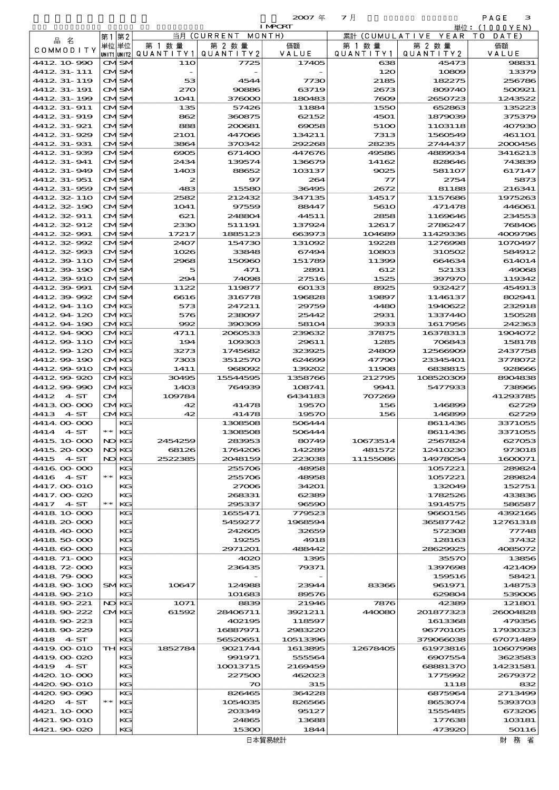|                          |              |             |                   | $2007 \text{ }$ | マ月             |                     | PAGE<br>з         |
|--------------------------|--------------|-------------|-------------------|-----------------|----------------|---------------------|-------------------|
|                          |              |             |                   | <b>I MPCRT</b>  |                |                     | 単位:(1000YEN)      |
|                          | 第1第2         |             | 当月(CURRENT        | MONTH)          | 累計 (CUMULATIVE | YEAR                | T O<br>DATE)      |
| 品 名                      | 単位単位         | 第 1 数 量     | 第 2 数量            | 価額              | 第 1 数 量        | 第 2 数量              | 価額                |
| COMMODITY                | UNIT1 UNIT2  | QUANTITY1   | QUANTITY 2        | VALUE           | QUANTITY1      | QUANTITY2           | VALUE             |
| 4412 10 990              | <b>CMSM</b>  | 11O         | 7725              | 17405           | 638            | 45473               | 98831             |
| 4412 31 - 111            | <b>CMSM</b>  |             |                   |                 | 120            | 10809               | 13379             |
| 4412 31-119              | CMSM         | 53          | 4544              | 7730            | 2185           | 182275              | 256780            |
| 4412 31-191              | CMSM         | 270         | 90886             | 63719           | 2673           | 809740              | 500921            |
| 4412 31-199              | <b>CMISM</b> | 1041        | 376000            | 180483          | 7609           | 2650723             | 1243522           |
| 4412 31-911              | CMISM        | 135         | 57426             | 11884           | 1550           | 652863              | 135223            |
| 4412 31-919              | CMISM        | 862         | 360875            | 62152           | 4501           | 1879039             | 375379            |
| 4412 31-921              | CMSM         | 888         | 200681            | 69058           | 5100           | 1103118             | 407930            |
| 4412 31-929              | CMSM         | <b>21O1</b> | 447066            | 134211          | 7313           | 1560549             | <b>461101</b>     |
| 4412 31-931              | CMISM        | 3864        | 370342            | 292268          | 28235          | 2744437             | 2000456           |
| 4412 31-939              | CMISM        | 6905        | 671400            | 447676          | 49586          | 4889934             | 3416213           |
| 4412 31-941              | CMISM        | 2434        | 139574            | 136679          | 14162          | 828646              | 743839            |
| 4412 31-949              | CMSM         | 1403        | 88652             | 103137          | 9025           | 581107              | 617147            |
| 4412 31-951              | CMSM         | 2           | 97                | 264             | $\tau$         | 2754                | 5873              |
| 4412 31-959              | CMISM        | 483         | 15580             | 36495           | 2672           | 81188               | 216341            |
| 4412 32 110              | CMISM        | 2582        | 212432            | 347135          | 14517          | 1157686             | 1975263           |
| 4412 32 190              | CMISM        | 1041        | 97559             | 88447           | <b>5610</b>    | 471478              | 446061            |
| 4412 32 911              | CMSM         | 621         | 248804            | 44511           | 2858           | 1169646             | 234553            |
| 4412 32 912              | CMSM         | 2330        | 511191            | 137924          | 12617          | 2786247             | 768406            |
| 4412 32 991              | CMISM        | 17217       | 1885123           | 663973          | 104689         | 11429336            | 4009796           |
| 4412 32 992              | CMISM        | 2407        | 154730            | 131092          | 19228          | 1276998             | 1070497           |
| 4412 32 993              | CMISM        | 1026        | 33848             | 67494           | 10803          | 310502              | 584912            |
| 4412 39 110              | CMSM         | 2968        | 150960            | 151789          | 11399          | 664634              | 614014            |
| 4412 39 190              | CMSM         | 5           | 471               | 2891            | 612            | 52133               | 49065             |
| 4412 39 910              | CMSM         | 294         | 74098             | 27516           | 1525           | 397970              | 119342            |
| 4412 39 991              | CMISM        | 1122        | 119877            | 60133           | 8925           | 932427              | 454913            |
| 4412.39.992              | CMISM        | 6616        | 316778            | 196828          | 19897          | 1146137             | 802941            |
| 4412 94 110              | <b>CMKG</b>  | 573         | 247211            | 29759           | 4480           | 1940622             | 232918            |
| 441294120                | <b>CMKG</b>  | 576         | 238097            | 25442           | 2931           | 1337440             | 150528            |
| 4412.94.190              | <b>CMKG</b>  | 992         | 390309            | 58104           | 3933           | 1617956             | 242363            |
| 4412 94 900              | <b>CMKG</b>  | 4711        | 2080533           | 239632          | 37875          | 16378313            | 1904072           |
| 4412.99-110              | <b>CMKG</b>  | 194         | 109303            | 29611           | 1285           | 706843              | 158178            |
| 441299-120               | <b>CMKG</b>  | 3273        | 1745682           | 323925          | 24809          | 12566909            | 2437758           |
| 4412.99-190              | <b>CMKG</b>  | 7303        | 3512570           | 624699          | 47790          | 23345401            | 3778072           |
| 4412.99-910              | <b>CMKG</b>  | 1411        | 968092            | 139202          | 11908          | 6838815             | 928666            |
| 4412.99-920              | <b>CMKG</b>  | 30495       | 15544595          | 1358766         | 212795         | 108520309           | 8904838           |
| 4412 99 990              | <b>CMKG</b>  | 1403        | 764939            | 108741          | 9941           | 5477933             | 738960            |
| 4412<br>$4\,$ ST         | M            | 109784      |                   | 6434183         | 707269         |                     | 41293785          |
| 4413 00 000              | <b>CMKG</b>  | 42          | 41478             | 19570           | 156            | 146899              | 62729             |
| 4413 4 ST                | <b>CMKG</b>  | 42          | 41478             | 19570           | 156            | 146899              | 6272              |
| 4414.00-000              | KG           |             | 1308508           | 506444          |                | 8611436             | 3371055           |
| 4414 4 ST                | $*$ KG       |             | 1308508           | 506444          |                | 8611436             | 3371055           |
| 4415 10 000              | NO KG        | 2454259     | 283953            | 80749           | 10673514       | 2567824<br>12410230 | 627053            |
| 4415.20.000              | NO KG        | 68126       | 1764206           | 142289          | 481572         |                     | 973018            |
| 4415 4 ST                | NO KG<br>KG  | 2522385     | 2048159<br>255706 | 223038<br>48958 | 11155086       | 14978054<br>1057221 | 1600071<br>289824 |
| 4416 00 000<br>4416 4 ST | $**$<br>  KG |             | 255706            | 48958           |                | 1057221             | 289824            |
| 4417.00 010              | KG           |             | 27006             | 34201           |                | 132049              | 152751            |
|                          |              |             |                   |                 |                |                     |                   |

| 4416 00 000  |       | КG           |         | 255706   | 48958    |          | 1057221   | 289824   |
|--------------|-------|--------------|---------|----------|----------|----------|-----------|----------|
| 4416 4 ST    | $***$ | KG           |         | 255706   | 48958    |          | 1057221   | 289824   |
| 4417.00 010  |       | KG           |         | 27006    | 34201    |          | 132049    | 152751   |
| 4417.000020  |       | KG           |         | 268331   | 62389    |          | 1782526   | 433836   |
| 4417 4 ST    | $***$ | KG           |         | 295337   | 96590    |          | 1914575   | 586587   |
| 4418 10 000  |       | KG           |         | 1655471  | 779523   |          | 9660156   | 4392166  |
| 4418 20 000  |       | КG           |         | 5459277  | 1968594  |          | 36587742  | 12761318 |
| 4418 40 000  |       | KG           |         | 242605   | 32659    |          | 572308    | 77748    |
| 4418 50 000  |       | KG           |         | 19255    | 4918     |          | 128163    | 37432    |
| 4418 60 000  |       | KG           |         | 2971201  | 488442   |          | 28629925  | 4085072  |
| 4418 71-000  |       | KG           |         | 4020     | 1395     |          | 35570     | 13856    |
| 4418 72 000  |       | KG           |         | 236435   | 79371    |          | 1397698   | 421409   |
| 4418 79 000  |       | KG           |         |          |          |          | 159516    | 58421    |
| 4418 90 100  |       | <b>SMKG</b>  | 10647   | 124988   | 23944    | 83366    | 961971    | 148753   |
| 4418 90 210  |       | KG           |         | 101683   | 89576    |          | 629804    | 539006   |
| 4418 90 221  |       | NO KG        | 1071    | 8839     | 21946    | 7876     | 42389     | 121801   |
| 4418 90 222  |       | <b>CMKG</b>  | 61592   | 28406711 | 3921211  | 440080   | 201877323 | 26004828 |
| 4418 90 223  |       | КG           |         | 402195   | 118597   |          | 1613368   | 479356   |
| 4418 90 229  |       | KG           |         | 16887971 | 2983220  |          | 96770105  | 17930323 |
| 4418 4 ST    |       | KG           |         | 56520651 | 10513396 |          | 379066038 | 67071489 |
| 4419, 00-010 |       | <b>TH KG</b> | 1852784 | 9021744  | 1613895  | 12678405 | 61973816  | 10807998 |
| 4419.000.020 |       | KG           |         | 991971   | 555564   |          | 6907554   | 3623583  |
| 4419 4 ST    |       | KG           |         | 10013715 | 2169459  |          | 68881370  | 14231581 |
| 4420 10 000  |       | KG           |         | 227500   | 462023   |          | 1775992   | 2679372  |
| 4420, 90 010 |       | KG           |         | 70       | 315      |          | 1118      | 832      |
| 4420.90-090  |       | KG           |         | 826465   | 364228   |          | 6875964   | 2713499  |
| 4420 4 ST    | $**$  | KG           |         | 1054035  | 826566   |          | 8653074   | 5393703  |
| 4421, 10,000 |       | KG           |         | 203349   | 95127    |          | 1555485   | 673206   |
| 4421.90 010  |       | KG           |         | 24865    | 13688    |          | 177638    | 103181   |
| 4421.90 020  |       | KG           |         | 15300    | 1844     |          | 473920    | 50116    |
|              |       |              |         |          | 日木留易統計   |          |           | 財 務 省    |